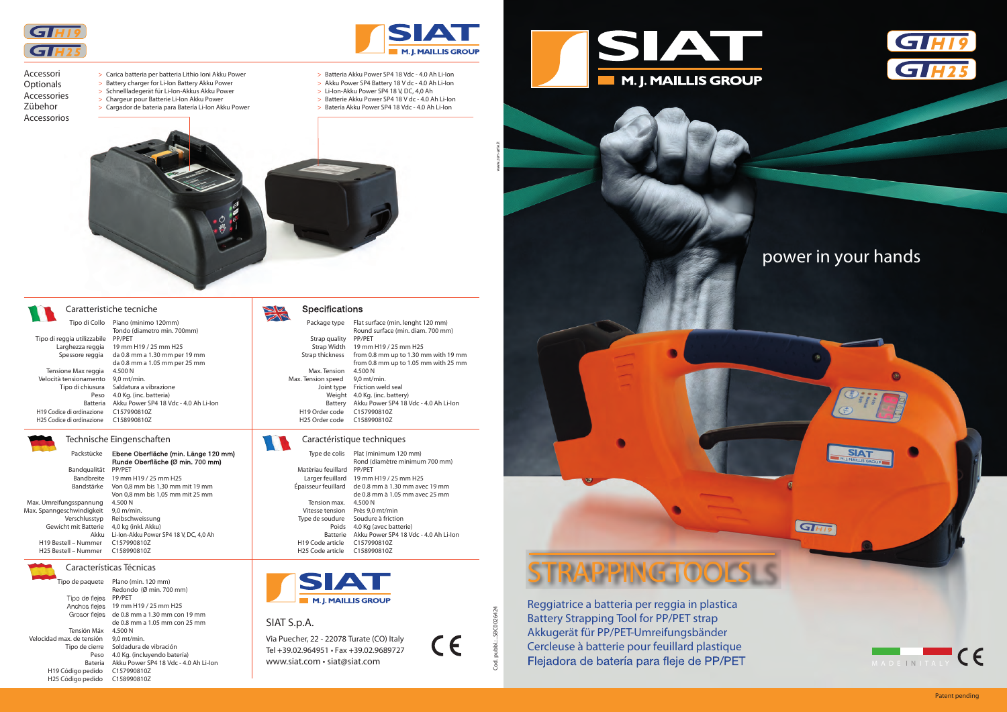## Caratteristiche tecniche

Características Técnicas

# SIAT S.p.A.

Via Puecher, 22 - 22078 Turate (CO) Italy Tel +39.02.964951 • Fax +39.02.9689727 www.siat.com • siat@siat.com

CE

Cod. pubbl.: ..SBC0026424

Cod. pubbl.: ..SBC0026424



Tensione Max reggia 4.500 N Velocità tensionamento 9,0 mt/min. Tipo di chiusura Saldatura a vibrazione Peso 4.0 Kg. (inc. batteria) Batteria Akku Power SP4 18 Vdc - 4.0 Ah Li-Ion H19 Codice di ordinazione C157990810Z H25 Codice di ordinazione C158990810Z

 Tipo di Collo Piano (minimo 120mm) Tipo di reggia utilizzabile PP/PET

Tondo (diametro min. 700mm)



 Larghezza reggia 19 mm H19 / 25 mm H25 Spessore reggia da 0.8 mm a 1.30 mm per 19 mm da 0.8 mm a 1.05 mm per 25 mm

| Packstùcke                       | Ebene Oberfläche (min. Länge 120 mm)   |
|----------------------------------|----------------------------------------|
|                                  | Runde Oberfläche (Ø min. 700 mm)       |
|                                  | PP/PET                                 |
| Bandqualität                     |                                        |
| <b>Bandbreite</b>                | 19 mm H19 / 25 mm H25                  |
| Bandstärke                       | Von 0,8 mm bis 1,30 mm mit 19 mm       |
|                                  | Von 0,8 mm bis 1,05 mm mit 25 mm       |
| Max. Umreifungsspannung          | 4.500 N                                |
| Max. Spanngeschwindigkeit        | $9.0$ m/min.                           |
| Verschlusstyp                    | Reibschweissung                        |
| Gewicht mit Batterie             | 4,0 kg (inkl. Akku)                    |
| Akku                             | Li-Ion-Akku Power SP4 18 V, DC, 4,0 Ah |
| H <sub>19</sub> Bestell – Nummer | C157990810Z                            |
| H <sub>25</sub> Bestell – Nummer | C1589908107                            |
|                                  |                                        |



- Accessori **Optionals** Accessories Zübehor Accessorios
- > Carica batteria per batteria Lithio Ioni Akku Power
- > Battery charger for Li-Ion Battery Akku Power
- > Schnellladegerät für Li-Ion-Akkus Akku Power
- > Chargeur pour Batterie Li-Ion Akku Power
- > Cargador de bateria para Batería Li-Ion Akku Power



 Tipo de paquete Plano (min. 120 mm) Redondo (Ø min. 700 mm) Tipo de fleies PP/PET Anchos flejes 19 mm H19 / 25 mm H25 Grosor flejes de 0.8 mm a 1.30 mm con 19 mm de 0.8 mm a 1.05 mm con 25 mm Tensión Máx 4.500 N Velocidad max. de tensión 9,0 mt/min. Tipo de cierre Soldadura de vibración Peso 4.0 Kg. (incluyendo batería) Bateria Akku Power SP4 18 Vdc - 4.0 Ah Li-Ion H19 Código pedido C157990810Z H25 Código pedido C158990810Z

### **Specifications**

| Package type               | Flat surface (min. lenght 120 mm)     |
|----------------------------|---------------------------------------|
|                            | Round surface (min. diam. 700 mm)     |
| Strap quality              | PP/PET                                |
| Strap Width                | 19 mm H19 / 25 mm H25                 |
| Strap thickness            | from 0.8 mm up to 1.30 mm with 19 mm  |
|                            | from 0.8 mm up to 1.05 mm with 25 mm  |
| Max. Tension               | 4.500 N                               |
| Max. Tension speed         | $9,0$ mt/min.                         |
| Joint type                 | Friction weld seal                    |
| Weight                     | 4.0 Kg. (inc. battery)                |
| Battery                    | Akku Power SP4 18 Vdc - 4.0 Ah Li-Jon |
| H19 Order code             | C157990810Z                           |
| H <sub>25</sub> Order code | C158990810Z                           |

## Technische Eingenschaften Caractéristique techniques

| Type de colis                | Plat (minimum 120 mm)                 |
|------------------------------|---------------------------------------|
|                              | Rond (diamètre minimum 700 mm)        |
| Matèriau feuillard           | PP/PET                                |
| Larger feuillard             | 19 mm H19 / 25 mm H25                 |
| Épaisseur feuillard          | de 0.8 mm à 1.30 mm avec 19 mm        |
|                              | de 0.8 mm à 1.05 mm avec 25 mm        |
| Tension max.                 | 4.500 N                               |
| Vitesse tension              | Près 9,0 mt/min                       |
| Type de soudure              | Soudure à friction                    |
| Poids                        | 4.0 Kg (avec batterie)                |
| <b>Batterie</b>              | Akku Power SP4 18 Vdc - 4.0 Ah Li-lon |
| H <sub>19</sub> Code article | C157990810Z                           |
| H25 Code article             | C158990810Z                           |



- > Batteria Akku Power SP4 18 Vdc 4.0 Ah Li-Ion
- > Akku Power SP4 Battery 18 V dc 4.0 Ah Li-Ion > Li-Ion-Akku Power SP4 18 V, DC, 4,0 Ah
- 
- > Batterie Akku Power SP4 18 V dc 4.0 Ah Li-Ion
- > Batería Akku Power SP4 18 Vdc 4.0 Ah Li-Ion